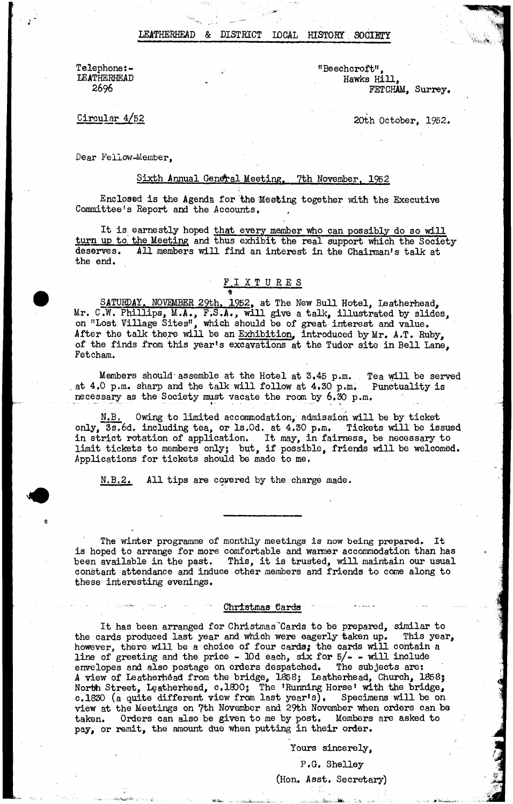# LEATHERHEAD *&* DISTRICT LOCAL HISTORT SOCIETY

Telephones-LEATHERHEAD **2696**

"Beechcroft", Hawks Hill, FETCHAM, Surrey,

Circular 4/52

20th October, 1952.

Dear Fellow-Member,

### Sixth Annual General Meeting. 7th November. 1952

Enclosed is the Agenda for 'the Meeting together with the Executive Committee's Report and the Accounts,

It is earnestly hoped that every member who can possibly do so will turn up to the Meeting and thus exhibit the real support which the Society deserves. All members will find an interest in the Chairman's talk at All members will find an interest in the Chairman's talk at the end.

## FIXTURES t

SATURDAY. NOVEMBER 29th. 1952. at The New Bull Hotel, Leatherhead, Mr. C.W. Phillips, M.A., F.S.A., will give a talk, illustrated by slides, on "Lost Village Sites", which should be of great interest and value. After the talk there will be an Exhibition, introduced by Mr. A.T. Ruby, of the finds from this year's excavations at the Tudor site in Bell Lane, Fetcham.

Members should-assemble at the Hotel at 3,45 p.m. Tea will be served . at 4.0 p.m. sharp and the talk will follow at 4.30 p.m. Punctuality is necessary as the Society must vacate the room by  $6.30$  p.m.

N.B, Owing to limited accommodation, admission will be by ticket only, 3s.6d. including tea, or ls.Od. at 4.30 p.m. Tickets will be issued in strict rotation of application. It may, in fairness, be necessary to limit tickets to members only; but, if possible, friends will be welcomed. Applications for tickets should be made to me,

N.B.2. All tips are covered by the charge made.

The winter programme of monthly meetings is now being prepared. It is hoped to arrange for more comfortable and warmer accommodation than has been available in the past. This, it is trusted, will maintain our usual constant attendance and induce other members and friends to come along to these interesting evenings.

# Christmas Cards

It has been arranged for Christmas'Cards to be prepared, similar to the cards produced last year and which were eagerly taken up. This year, however, there will be a choice of four cards; the cards will contain a line of greeting and the price - ]Dd each, six for 5/- - will include envelopes and also postage on orders despatched. The subjects are: A view of Leatherh6ad from the bridge, 1858) Leatherhead, Church, 1858j North Street, Leatherhead, c.1800; The 'Running Horse' with the bridge, c.1830 (a quite different view from last year's). Specimens will be on view at the Meetings on 7th November and 29th November when orders can be taken. Orders can also be given to me by post, Members are asked to pay, or remit, the amount due when putting in their order.

Yours sincerely,

P.G. Shelley

(Hon. Asst. Secretary)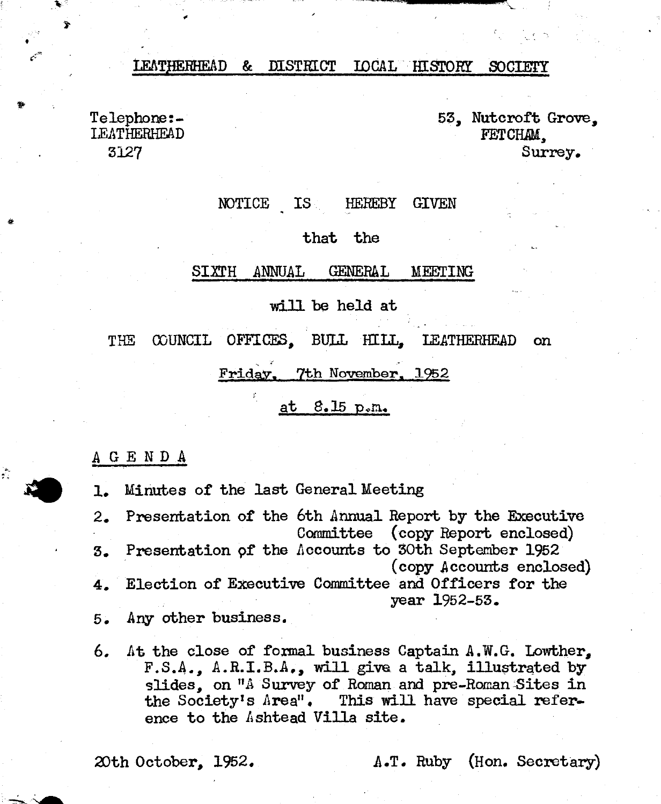### LEATHEHHEAD & DISTRICT IDGAL HISTORY SOCIETY

**IEATHERHEAD** 

Telephone:<br>- 53, Nutcroft Grove,<br>FETCHAM, 3127 Surrey.

### NOTICE IS HEREBY GIVEN

#### that the

### SIXTH ANNUAL GENERAL MEETING

mil, be held at

THE COUNCIL OFFICES, BULL HILL, LEATHERHEAD on

**Friday. 7th November. 1952**

## at  $8.15$  p.m.

### AGENDA

1. Minutes of the last General Meeting

2. Presentation of the 6th Annual Report by the Executive Committee (copy Report enclosed) 3. Presentation pf the Accounts to 30th September 1952 (copy Accounts enclosed) 4. Election of Executive Committee and Officers for the year 1952-53.

- 5. Any other business.
- 6. At the close of formal business Captain A.W.G. Lowther, F.S.A., A.R.I.B.A., will give a talk, illustrated by slides, on "A Survey of Reman and pre-Roman Sites in the Society's Area". This will have special reference to the Ashtead Villa site.

### 20th October, 1952. A.T. Ruby (Hon. Secretary)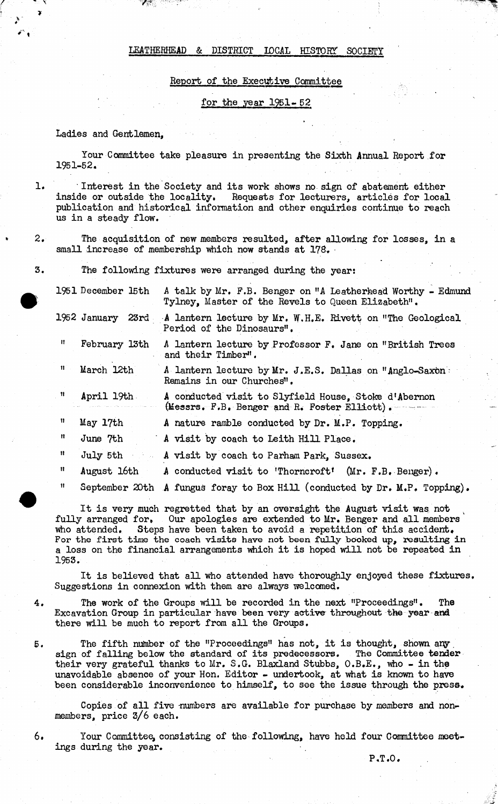## LEATHERHEAD & DISTRICT LOCAL HISTORY SOCIETY

Report of the Executive Committee

for the year 1951- 52

Ladies and Gentlemen,

 $2.$ 

3.

6.

Your Committee take pleasure in presenting the Sixth Annual Report for 1951-52.

 $\mathbf{1}$ ' Interest in the Society and its work shows no sign of abatement either inside or outside the locality. Requests for lecturers, articles for local publication and historical information and other enquiries continue to reach us in a steady flow.

The acquisition of new members resulted, after allowing for losses, in a small increase of membership which now stands at 178.

The following fixtures were arranged during the year:

1951 December 15th A talk by Mr. F.B. Benger on "A Leatherhead Worthy - Edmund Tylney, Master of the Revels to Queen Elizabeth".

1952 January 23rd A lantern lecture by Mr, W.H.E. Rivett on "The Geological Period of the Dinosaurs",

" February 13th A lantern lecture by Professor F, Jane on "British Trees and their Timber".

" March 12th A lantern lecture by Mr. J.E.S. Dallas on "Anglo-Saxtn Remains in our Churches".

" April 19th A conducted visit to Slyfield House, Stoke d'Abemon (Messrs. F.B, Benger and R. Foster Elliott) .

" May 17th A nature ramble conducted by Dr. M.P. Topping.

" June 7th A visit by coach to Leith Hill Place.

" July 5th A visit by coach to Parham Park, Sussex,

" August 16th A conducted visit to 'Thorncroft1 (Mr. F.B, Benger),

" September 2Qth A fungus foray to Box Hill (conducted by Dr, M.P, Topping),

It is very much regretted that by an oversight the August visit was not fully arranged for, Our apologies are extended to Mr. Benger and all members who attended. Steps have been taken to avoid a repetition of this accident. For the first time the coach visits have not been fully booked up, resulting in a loss on the financial arrangements which it is hoped will not be repeated in 1953.

It is believed that all who attended have thoroughly enjoyed these fixtures. Suggestions in connexion with them are always welcomed.

The work of the Groups will be recorded in the next "Proceedings". The 4. Excavation Group in particular have been very active throughout the year and there will be much to report from all the Groups,

5. The fifth number of the "Proceedings" has not, it is thought, shown any. sign of falling below the standard of its predecessors. The Committee tender their very grateful thanks to Mr. S.G. Blaxland Stubbs, O.B.E., who - in the unavoidable absence of your Hon. Editor - undertook, at what is known to have been considerable inconvenience to himself, to see the issue through the press.

Copies of all five numbers are available for purchase by members and nonmembers, price 3/6 each.

Your Committee, consisting of the following, have held four Committee meetings during the year.

P.T.O,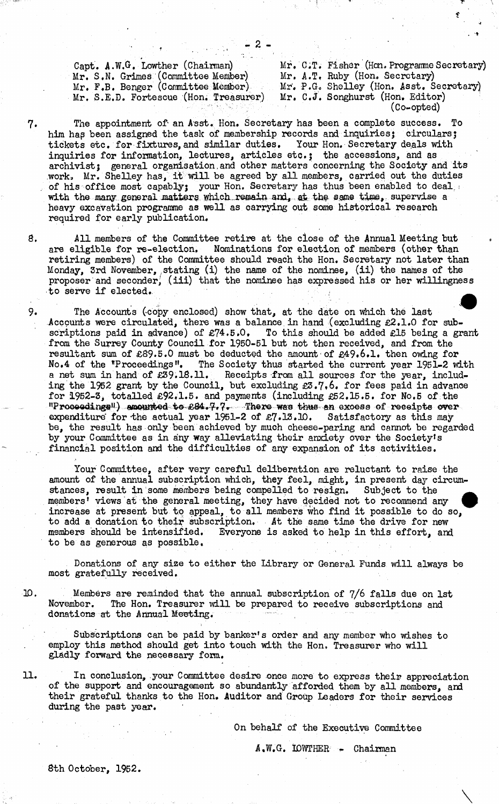Capt. A.W.G. Lowther (Chairman) Mr. C.T. Fisher (Hon. Programme Secretary)<br>Mr. S.N. Grimes (Committee Member) Mr. A.T. Ruby (Hon. Secretary) Mr. S.N. Grimes (Committee Member)<br>Mr. F.B. Benger (Committee Member) Mr. S.E.D. Fortescue (Hon. Treasurer)

*<sup>f</sup>* .

Mr. P.G. Shelley (Hon. Asst. Secretary) Mr. C.J. Songhurst (Hon. Editor) ■ (Co-opted)

7. The appointment of- an Asst. Hon. Secretary has been a complete success. To him has been assigned the task of membership records and inquiries; circulars; tickets etc. for fixtures, and similar duties. Your Hon. Secretary deals with inquiries for information, lectures, articles etc.j the accessions, and as archivist; general organisation,and other matters concerning the Society and its work:, Mr. Shelley has, it will be agreed by all members, carried out the duties of his office most capably; your Hon. Secretary has thus been enabled to deal,  $\epsilon$ with the many general matters which remain and, at the same time, supervise a heavy excavation programme as well as carrying out some historical research required for early publication,

 $-2 -$ 

8. All members of the Committee retire at the close of the Annual Meeting but are eligible for re-election, Nominations for election of members (other than retiring members) of the Committee should reach the Hon. Secretary not later than Monday, 3rd November, stating (i) the name of the nominee, (ii) the names of the proposer and seconder, (iii) that the nominee has expressed his or her willingness to serve if elected.

9. The Accounts (copy enclosed) show that, at the date on which the last Accounts were circulated, there was a balance in hand (excluding £2.1,0 for subscriptions paid in advance) of £74.5.0, To this should be added £15 being a grant from the Surrey County Council for 1950-51 but not then received, and from the resultant sum of £89.5.0 must be deducted the amount of £49.6.1. then owing for No,4 of the "Proceedings", The Society thus started the current year 1951-2 with a net sum in hand of £39.18.11. Receipts from all sources for the year, including the 1952 grant by the Council, but excluding £3.7.6, for fees paid in advance for 1952-3, totalled £92,1.5. and payments (including £52.15.5. for No.5 of the "Proceedings") amounted to £84.7.7. There was thus an excess of receipts over expenditure for the actual year 1951-2 of  $E7.13.10.$  Satisfactory as this may be, the result has only been achieved by much cheese-paring and cannot be regarded by your Committee as in any way alleviating their anxiety over the Society's financial position and the difficulties of any expansion of its activities.

Your Committee, after very careful deliberation are reluctant to raise the amount of the annual subscription which, they feel, might, in present day circumstances, result in some members being compelled to resign. Subject to the members' views at the general meeting, they have decided not to recommend any increase at present but to appeal, to all members who find it possible to do so, to add a donation to their subscription. At the same time the drive for new members should be intensified. Everyone is asked to help in this effort, and Everyone is asked to help in this effort, and to be as generous as possible.

Donations of any size to either the Library or General Funds will always be most gratefully received.

10. Members are reminded that the annual subscription of 7/6 falls due on 1st November. The Hon. Treasurer will be prepared to receive subscriptions and donations at the Annual Meeting,

Subscriptions can be paid by banker's order and any member who wishes to employ this method should get into touch with the Hon, Treasurer who will gladly forward the necessary form.

11. In conclusion, your Committee desire once more to express their appreciation of the support and encouragement so abundantly afforded them by all members, and their grateful thanks to the Hon. Auditor and Group Leaders for their services during the past year.

On behalf of the Executive Committee

A.W.G. IOWTHER - Chairman

 $\diagdown$ 

8th October, 1952,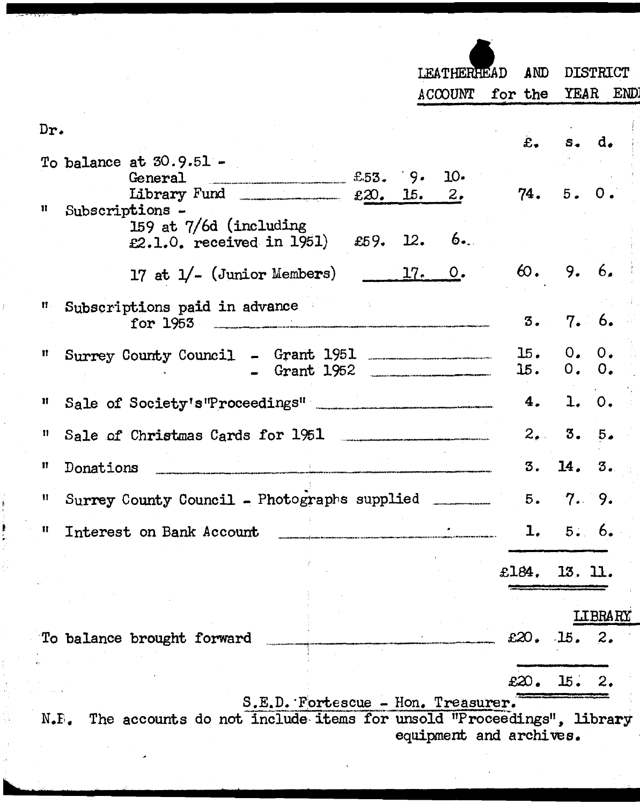|                                                                                                                                              |  |  | <b>LEATHERHEAD</b><br>ACCOUNT | AND.<br>for the |                            | <b>DISTRICT</b><br>YEAR<br><b>END</b> |  |
|----------------------------------------------------------------------------------------------------------------------------------------------|--|--|-------------------------------|-----------------|----------------------------|---------------------------------------|--|
| Dr.                                                                                                                                          |  |  |                               |                 | $\mathbf{\hat{E}}$ , s, d, |                                       |  |
| To balance at $30.9.51 -$<br>General $x=55$ . 9.                                                                                             |  |  | $10-$                         |                 | 74.5.0.                    |                                       |  |
| n<br>Subscriptions -<br>159 at $7/6d$ (including<br>£2.1.0. received in 1951) £59. 12. 6.                                                    |  |  |                               |                 |                            |                                       |  |
| 17 at $1/-$ (Junior Members) 17. 0.                                                                                                          |  |  |                               |                 | 60.9.6.                    |                                       |  |
| 11<br>Subscriptions paid in advance<br>for $1953$                                                                                            |  |  |                               | 3.              |                            | 7.6.                                  |  |
| Surrey County Council - Grant 1951<br>11.<br>Grant 1952                                                                                      |  |  |                               | 15.<br>15.      |                            | 0.0.<br>0.0.                          |  |
| n                                                                                                                                            |  |  |                               | 4.              |                            | 1. 0.                                 |  |
| Sale of Christmas Cards for 1951<br>n                                                                                                        |  |  |                               | 2.              |                            | 3.5.                                  |  |
| Donations<br>11                                                                                                                              |  |  |                               | 3.              | 14.3.                      |                                       |  |
| Surrey County Council - Photographs supplied __________ 5.<br>п                                                                              |  |  |                               |                 |                            | 7.9.                                  |  |
| Interest on Bank Account<br>81                                                                                                               |  |  |                               |                 | 1. 5. $6.$                 |                                       |  |
|                                                                                                                                              |  |  |                               | £184. 13. 11.   |                            |                                       |  |
|                                                                                                                                              |  |  |                               |                 |                            | <b>LIBRARY</b>                        |  |
| To balance brought forward                                                                                                                   |  |  |                               | £20.15.         |                            | 2.                                    |  |
|                                                                                                                                              |  |  |                               | £20.            | 15.                        | 2.                                    |  |
| S.E.D. Fortescue - Hon. Treasurer.<br>The accounts do not include items for unsold "Proceedings", library<br>N.E.<br>equipment and archives. |  |  |                               |                 |                            |                                       |  |

 $\frac{1}{2}$ 

おんまつ かいせい